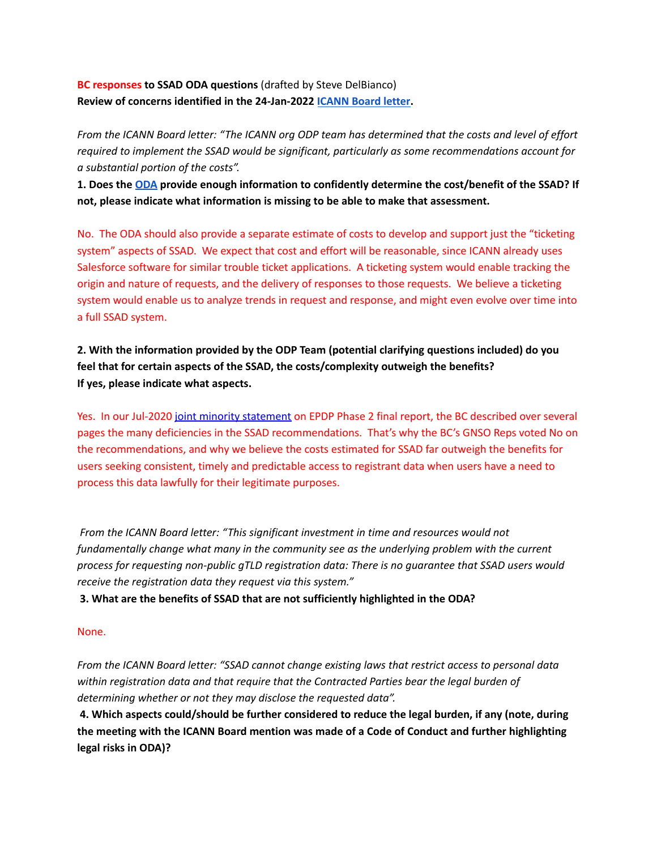**BC responses to SSAD ODA questions** (drafted by Steve DelBianco) **Review of concerns identified in the 24-Jan-2022 [ICANN](https://gnso.icann.org/sites/default/files/policy/2022/correspondence/botterman-to-fouquart-24jan22-en.pdf) Board letter.**

From the ICANN Board letter: "The ICANN org ODP team has determined that the costs and level of effort *required to implement the SSAD would be significant, particularly as some recommendations account for a substantial portion of the costs".*

**1. Does the [ODA](https://www.icann.org/en/system/files/files/ssad-oda-25jan22-en.pdf) provide enough information to confidently determine the cost/benefit of the SSAD? If not, please indicate what information is missing to be able to make that assessment.**

No. The ODA should also provide a separate estimate of costs to develop and support just the "ticketing system" aspects of SSAD. We expect that cost and effort will be reasonable, since ICANN already uses Salesforce software for similar trouble ticket applications. A ticketing system would enable tracking the origin and nature of requests, and the delivery of responses to those requests. We believe a ticketing system would enable us to analyze trends in request and response, and might even evolve over time into a full SSAD system.

**2. With the information provided by the ODP Team (potential clarifying questions included) do you feel that for certain aspects of the SSAD, the costs/complexity outweigh the benefits? If yes, please indicate what aspects.**

Yes. In our Jul-2020 joint minority [statement](https://www.bizconst.org/assets/docs/positions-statements/2020/2020_07July_29%20Minority%20Statement%20of%20the%20BC%20and%20IPC%20on%20the%20EPDP%20Phase%202%20Final%20Report.pdf) on EPDP Phase 2 final report, the BC described over several pages the many deficiencies in the SSAD recommendations. That's why the BC's GNSO Reps voted No on the recommendations, and why we believe the costs estimated for SSAD far outweigh the benefits for users seeking consistent, timely and predictable access to registrant data when users have a need to process this data lawfully for their legitimate purposes.

*From the ICANN Board letter: "This significant investment in time and resources would not fundamentally change what many in the community see as the underlying problem with the current process for requesting non-public gTLD registration data: There is no guarantee that SSAD users would receive the registration data they request via this system."*

**3. What are the benefits of SSAD that are not sufficiently highlighted in the ODA?**

## None.

*From the ICANN Board letter: "SSAD cannot change existing laws that restrict access to personal data within registration data and that require that the Contracted Parties bear the legal burden of determining whether or not they may disclose the requested data".*

**4. Which aspects could/should be further considered to reduce the legal burden, if any (note, during the meeting with the ICANN Board mention was made of a Code of Conduct and further highlighting legal risks in ODA)?**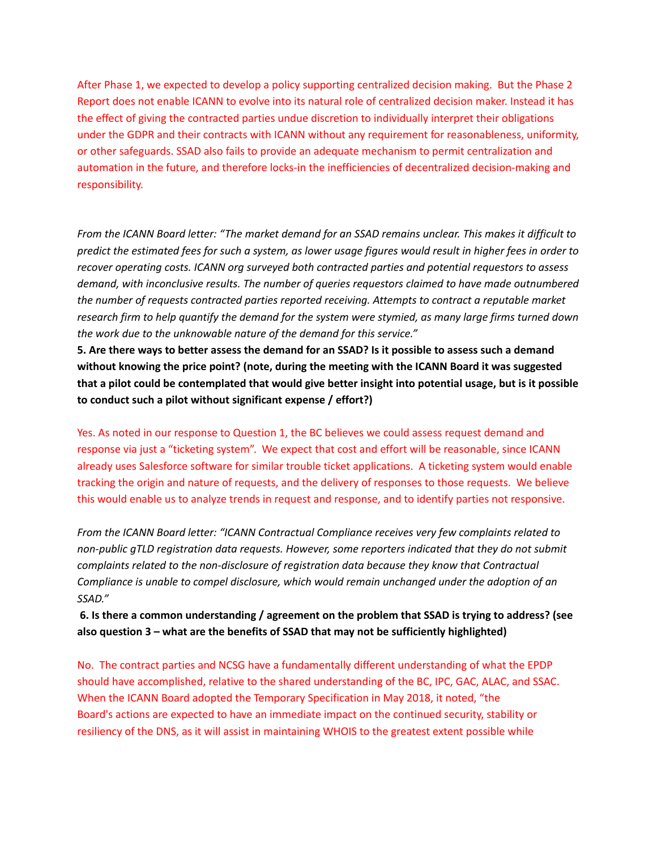After Phase 1, we expected to develop a policy supporting centralized decision making. But the Phase 2 Report does not enable ICANN to evolve into its natural role of centralized decision maker. Instead it has the effect of giving the contracted parties undue discretion to individually interpret their obligations under the GDPR and their contracts with ICANN without any requirement for reasonableness, uniformity, or other safeguards. SSAD also fails to provide an adequate mechanism to permit centralization and automation in the future, and therefore locks-in the inefficiencies of decentralized decision-making and responsibility.

From the ICANN Board letter: "The market demand for an SSAD remains unclear. This makes it difficult to predict the estimated fees for such a system, as lower usage figures would result in higher fees in order to *recover operating costs. ICANN org surveyed both contracted parties and potential requestors to assess demand, with inconclusive results. The number of queries requestors claimed to have made outnumbered the number of requests contracted parties reported receiving. Attempts to contract a reputable market* research firm to help quantify the demand for the system were stymied, as many large firms turned down *the work due to the unknowable nature of the demand for this service."*

5. Are there ways to better assess the demand for an SSAD? Is it possible to assess such a demand **without knowing the price point? (note, during the meeting with the ICANN Board it was suggested** that a pilot could be contemplated that would give better insight into potential usage, but is it possible **to conduct such a pilot without significant expense / effort?)**

Yes. As noted in our response to Question 1, the BC believes we could assess request demand and response via just a "ticketing system". We expect that cost and effort will be reasonable, since ICANN already uses Salesforce software for similar trouble ticket applications. A ticketing system would enable tracking the origin and nature of requests, and the delivery of responses to those requests. We believe this would enable us to analyze trends in request and response, and to identify parties not responsive.

*From the ICANN Board letter: "ICANN Contractual Compliance receives very few complaints related to non-public gTLD registration data requests. However, some reporters indicated that they do not submit complaints related to the non-disclosure of registration data because they know that Contractual Compliance is unable to compel disclosure, which would remain unchanged under the adoption of an SSAD."*

**6. Is there a common understanding / agreement on the problem that SSAD is trying to address? (see also question 3 – what are the benefits of SSAD that may not be sufficiently highlighted)**

No. The contract parties and NCSG have a fundamentally different understanding of what the EPDP should have accomplished, relative to the shared understanding of the BC, IPC, GAC, ALAC, and SSAC. When the ICANN Board adopted the Temporary Specification in May 2018, it noted, "the Board's actions are expected to have an immediate impact on the continued security, stability or resiliency of the DNS, as it will assist in maintaining WHOIS to the greatest extent possible while